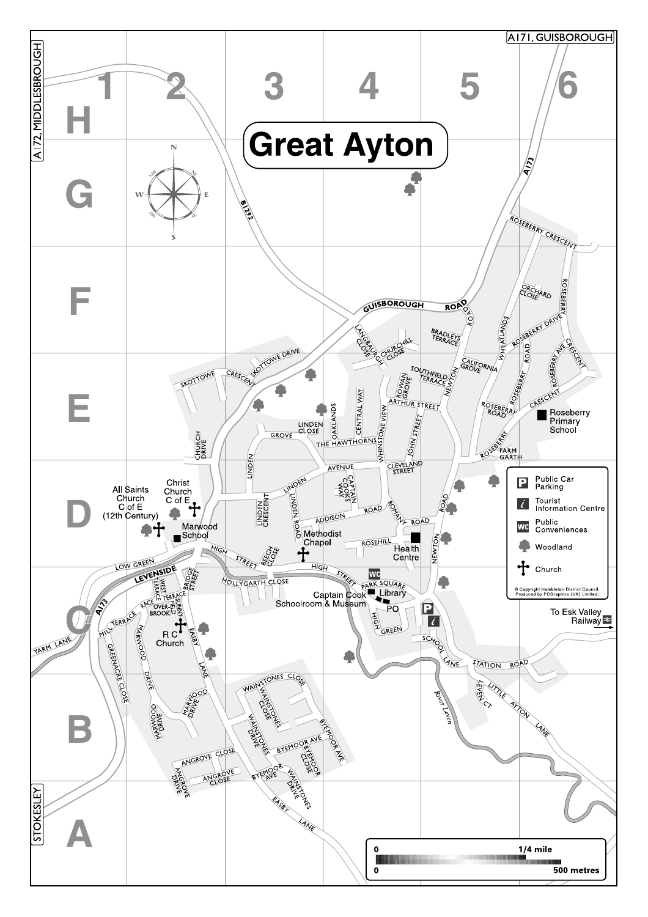